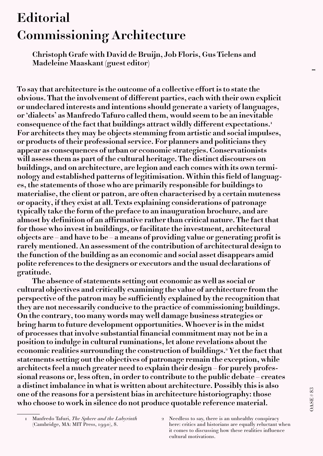## **Editorial Commissioning Architecture**

**Christoph Grafe with David de Bruijn, Job Floris, Gus Tielens and Madeleine Maaskant (guest editor)**

**To say that architecture is the outcome of a collective effort is to state the obvious. That the involvement of different parties, each with their own explicit or undeclared interests and intentions should generate a variety of languages, or 'dialects' as Manfredo Tafuro called them, would seem to be an inevitable consequence of the fact that buildings attract wildly different expectations.1 For architects they may be objects stemming from artistic and social impulses, or products of their professional service. For planners and politicians they appear as consequences of urban or economic strategies. Conservationists will assess them as part of the cultural heritage. The distinct discourses on buildings, and on architecture, are legion and each comes with its own terminology and established patterns of legitimisation. Within this field of languages, the statements of those who are primarily responsible for buildings to materialise, the client or patron, are often characterised by a certain muteness or opacity, if they exist at all. Texts explaining considerations of patronage typically take the form of the preface to an inauguration brochure, and are almost by definition of an affirmative rather than critical nature. The fact that for those who invest in buildings, or facilitate the investment, architectural objects are – and have to be – a means of providing value or generating profit is rarely mentioned. An assessment of the contribution of architectural design to the function of the building as an economic and social asset disappears amid polite references to the designers or executors and the usual declarations of gratitude.** 

**The absence of statements setting out economic as well as social or cultural objectives and critically examining the value of architecture from the perspective of the patron may be sufficiently explained by the recognition that they are not necessarily conducive to the practice of commissioning buildings. On the contrary, too many words may well damage business strategies or bring harm to future development opportunities. Whoever is in the midst of processes that involve substantial financial commitment may not be in a position to indulge in cultural ruminations, let alone revelations about the economic realities surrounding the construction of buildings.2 Yet the fact that statements setting out the objectives of patronage remain the exception, while architects feel a much greater need to explain their design – for purely professional reasons or, less often, in order to contribute to the public debate – creates a distinct imbalance in what is written about architecture. Possibly this is also one of the reasons for a persistent bias in architecture historiography: those who choose to work in silence do not produce quotable reference material.** 

–

<sup>1</sup> Manfredo Tafuri, The Sphere and the Labyrinth (Cambridge, MA: MIT Press, 1990), 8.

<sup>2</sup> Needless to say, there is an unhealthy conspiracy here: critics and historians are equally reluctant when it comes to discussing how these realities influence cultural motivations.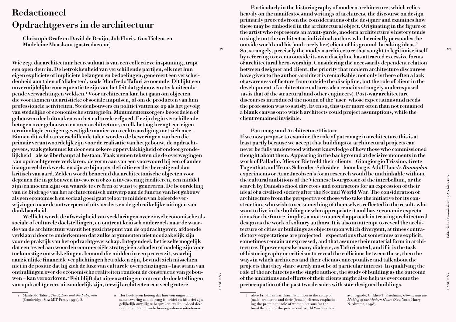# **Redactioneel Opdrachtgevers in de architectuur**

**Christoph Grafe en David de Bruijn, Job Floris, Gus Tielens en Madeleine Maaskant (gastredacteur)**

**Wie zegt dat architectuur het resultaat is van een collectieve inspanning, trapt een open deur in. De betrokkenheid van verschillende partijen, elk met hun eigen expliciete of impliciete belangen en bedoelingen, genereert een verscheidenheid aan talen of 'dialecten', zoals Manfredo Tafuri ze noemde. Dit lijkt een onvermijdelijke consequentie te zijn van het feit dat gebouwen sterk uiteenlopende verwachtingen wekken.1 Voor architecten kan het gaan om objecten die voortkomen uit artistieke of sociale impulsen, of om de producten van hun professionele activiteiten. Stedenbouwers en politici vatten ze op als het gevolg van stedelijke of economische strategieën. Monumentenzorgers beoordelen of gebouwen deel uitmaken van het culturele erfgoed. Er zijn legio verschillende betogen over gebouwen en over architectuur, en elk betoog brengt een eigen terminologie en eigen gevestigde manier van rechtvaardiging met zich mee. Binnen dit veld van verschillende talen worden de beweringen van hen die primair verantwoordelijk zijn voor de realisatie van het gebouw, de opdrachtgevers, vaak gekenmerkt door een zekere oppervlakkigheid of ondoorgrondelijkheid – als ze überhaupt al bestaan. Vaak nemen teksten die de overwegingen van opdrachtgevers verklaren, de vorm aan van een voorwoord bij een of ander inaugureel drukwerk, en zijn ze bijna per definitie eerder bevestigend dan kritisch van aard. Zelden wordt benoemd dat architectonische objecten voor degenen die in gebouwen investeren of zo'n investering faciliteren, een middel zijn (en moeten zijn) om waarde te creëren of winst te genereren. De beoordeling van de bijdrage van het architectonisch ontwerp aan de functie van het gebouw als een economisch en sociaal goed gaat teloor te midden van beleefde verwijzingen naar de ontwerpers of uitvoerders en de gebruikelijke uitingen van dankbaarheid.** 

**Wellicht wordt de afwezigheid van verklaringen over zowel economische als sociale of culturele doelstellingen, en omtrent kritisch onderzoek naar de waarde van de architectuur vanuit het gezichtspunt van de opdrachtgever, afdoende verklaard door te onderkennen dat zulke argumenten niet noodzakelijk zijn voor de praktijk van het opdrachtgeverschap. Integendeel, het is zelfs mogelijk dat een teveel aan woorden commerciële strategieën schaden of nadelig zijn voor toekomstige ontwikkelingen. Iemand die midden in een proces zit, waarbij aanzienlijke financiële verplichtingen betrokken zijn, bevindt zich misschien niet in de positie dat hij zich de luxe van culturele overpeinzingen – laat staan van onthullingen over de economische realiteiten rondom de constructie van gebouwen – kan veroorloven.2 Feit blijft dat uiteenzettingen omtrent de doelstellingen van opdrachtgevers uitzonderlijk zijn, terwijl architecten een veel grotere** 

 $OASE #83$ OASE # 83

 $\sim$ 

1 Manfredo Tafuri, The Sphere and the Labyrinth (Cambridge, MA: MIT Press, 1990), 8.

2 Het hoeft geen betoog dat hier een ongezonde samenzwering aan de gang is: critici en historici zijn gelijkelijk onwillig te bespreken, welke invloed deze realiteiten op culturele beweegredenen uitoefenen.

**Particularly in the historiography of modern architecture, which relies heavily on the manifestoes and writings of architects, the discourse on design primarily proceeds from the considerations of the designer and examines how these may be embodied in the architectural object. Originating in the figure of the artist who represents an avant-garde, modern architecture's history tends to single out the architect as individual author, who heroically persuades the outside world and his (and rarely her) client of his ground-breaking ideas.3 So, strangely, precisely the modern architecture that sought to legitimise itself by referring to events outside its own discipline has attracted excessive forms of architectural hero-worship. Considering the necessarily dependent relation between designer and client, the priority that modern architecture discourses have given to the author-architect is remarkable: not only is there often a lack of awareness of factors from outside the discipline, but the role of client in the development of architecture cultures also remains strangely underexposed (as is that of the structural and other engineers). Post-war architecture discourses introduced the notion of the 'user' whose expectations and needs the profession was to satisfy. Even so, this user more often than not remained a blank canvas onto which architects could project assumptions, while the client remained invisible.** 

### **Patronage and Architecture History**

**If we now propose to examine the role of patronage in architecture this is at least partly because we accept that buildings or architectural projects can never be fully understood without knowledge of how those who commissioned thought about them. Appearing in the background at decisive moments in the work of Palladio, Mies or Rietveld their clients – Giangiorgio Trissino, Grete Tugenthat and Truus Schröder-Schräder – loom large. Adolf Loos's Raumplan experiments or Arne Jacobsen's form research would be unthinkable without the cultural ambitions of the Viennese bourgeoisie of the interbellum, or the search by Danish school directors and contractors for an expression of their ideal of a civilised society after the Second World War. The consideration of architecture from the perspective of those who take the initiative for its construction, who wish to see something of themselves reflected in the result, who want to live in the building or who appropriate it and have economic expectations for the future, implies a more nuanced approach in treating architectural design as the work of solitary authors. It is also an attempt to reveal the architecture of cities or buildings as objects upon which divergent, at times contradictory expectations are projected – expectations that sometimes are explicit, sometimes remain unexpressed, and that assume their material form in architecture. If power speaks many dialects, as Tafuri noted, and if it is the task of historiography or criticism to reveal the collisions between these, then the ways in which architects and their clients conceptualise and talk about the projects that they share surely must be of particular interest. In qualifying the role of the architects as the single author, the study of building as the outcome of the ambitions and efforts of their clients might also help us overcome the preoccupation of the past two decades with star-designed buildings.** 

<sup>3</sup> Alice Friedman has drawn attention to the setup of (male) architects and their (female) clients, emphasising the prominent role of women patrons for the breakthrough of the pre-Second World War modern

avant-garde. Cf Alice T. Friedman, Women and the Making of the Modern House (New York: Harry N. Abrams, 1998).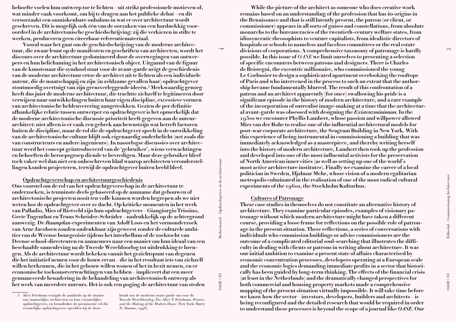**behoefte voelen hun ontwerp toe te lichten – uit strikt professionele motieven of, wat minder vaak voorkomt, om bij te dragen aan het publieke debat – en dit veroorzaakt een onmiskenbare onbalans in wat er over architectuur wordt geschreven. Dit is mogelijk ook één van de oorzaken van een hardnekkig vooroordeel in de architectonische geschiedschrijving: zij die verkiezen in stilte te werken, produceren geen citeerbaar referentiemateriaal.** 

**Vooral waar het gaat om de geschiedschrijving van de moderne architectuur, die zwaar leunt op de manifesten en geschriften van architecten, wordt het discours over de architectuur gedomineerd door de overwegingen van ontwerpers en hun belichaming in het architectonisch object. Uitgaand van de figuur van de kunstenaar die symbool staat voor de avant-garde neigt de geschiedenis van de moderne architectuur ertoe de architect uit te lichten als een individuele auteur, die de maatschappij en zijn (in zeldzame gevallen haar) opdrachtgever stoutmoedig overtuigt van zijn grensverleggende ideeën.3 Merkwaardig genoeg heeft dus juist de moderne architectuur, die trachtte zichzelf te legitimeren door verwijzen naar ontwikkelingen buiten haar eigen discipline, excessieve vormen van architectonische heldenverering aangetrokken. Gezien de per definitie afhankelijke relatie tussen ontwerper en opdrachtgever is het opmerkelijk dat de moderne architectonische discussie prioriteit heeft gegeven aan de auteurarchitect: niet alleen is er vaak een gebrek aan bewustzijn wat betreft factoren buiten de discipline, maar de rol die de opdrachtgever speelt in de ontwikkeling van de architectonische cultuur blijft ook eigenaardig onderbelicht (net zoals die van constructeurs en andere ingenieurs). In naoorlogse discussies over architectuur werd het concept geïntroduceerd van de 'gebruiker', wiens verwachtingen en behoeften de beroepsgroep diende te bevredigen. Maar deze gebruiker bleef toch vaker wel dan niet een onbeschreven blad waarop architecten veronderstellingen konden projecteren, terwijl de opdrachtgever buiten beeld bleef.** 

**Opdrachtgeverschap en architectuurgeschiedenis** 

**Ons voorstel om de rol van het opdrachtgeverschap in de architectuur te onderzoeken, is tenminste deels gebaseerd op de aanname dat gebouwen of architectonische projecten nooit ten volle kunnen worden begrepen als we niet weten hoe de opdrachtgever over ze dacht. Op kritieke momenten in het werk van Palladio, Mies of Rietveld zijn hun opdrachtgevers – Giangiorgio Trissino, Grete Tugenthat en Truus Schröder-Schräder – nadrukkelijk op de achtergrond aanwezig. De Raumplan-experimenten van Adolf Loos en het vormonderzoek van Arne Jacobsen zouden ondenkbaar zijn geweest zonder de culturele ambities van de Weense bourgeoisie tijdens het interbellum of de zoektocht van Deense school-directeuren en aannemers naar een manier om hun ideaal van een beschaafde samenleving na de Tweede Wereldoorlog tot uitdrukking te brengen. Als de architectuur wordt bekeken vanuit het gezichtspunt van degenen die het initiatief nemen voor de bouw ervan – die in het resultaat iets van zichzelf willen herkennen, die in het gebouw willen wonen of het in bezit nemen, en er economische toekomstverwachtingen van hebben – impliceert dat een meer genuanceerde benadering in de behandeling van architectonisch ontwerp als het werk van meerdere auteurs. Het is ook een poging de architectuur van steden** 

3 Alice Friedman vestigde de aandacht op de situatie van (mannelijke) architecten en hun (vrouwelijke) opdrachtgevers, en benadrukte de prominente rol die vrouwelijke opdrachtgevers speelden bij de door-

braak van de moderne avant-garde van voor de Tweede Wereldoorlog. Zie: Alice T. Friedman, Women and the Making of the Modern House (New York: Harry N. Abrams, 1998).

**While the picture of the architect as someone who does creative work remains based on an understanding of the profession that has its origins in the Renaissance and that is still latently present, the patron (or client, or commissioner) appears in all sorts of guises and constellations, from absolute monarchs to the bureaucracies of the twentieth-century welfare states, from idiosyncratic theosophists to venture capitalists, from idealistic directors of hospitals or schools to nameless and faceless committees or the real estate divisions of corporations. A comprehensive taxonomy of patronage is hardly possible. In this issue of** OASE **we limit ourselves to presenting a selection of specific encounters between patrons and designers. There is Charles de Beistegui, the excentric millionaire, who commissioned the young Le Corbusier to design a sophisticated apartment overlooking the rooftops of Paris and who intervened in the process to such an extent that the authorship became fundamentally blurred. The result of this confrontation of a patron and an architect apparently (for once) swallowing his pride is a significant episode in the history of modern architecture, and a rare example of the incorporation of surrealist image-making at a time that the architectural avant-garde was obsessed with designing the Existenzminimum. In the 1950s we encounter Phyllis Lambert, whose passion and willpower allowed Mies van der Rohe to realise one of the influential architectural models for post-war corporate architecture, the Seagram Building in New York. With this experience of being instrumental in commissioning a building that was immediately acknowledged as a masterpiece, and thereby writing herself into the history of modern architecture, Lambert then took up the profession and developed into one of the most influential activists for the preservation of North American inner cities (as well as setting up one of the world's most active architecture institutes). Finally we examine the career of a local politician in Sweden, Hjalmar Mehr, whose vision of a modern egalitarian metropolis culminated in the realisation of one of the most radical cultural experiments of the 1960s, the Stockholm Kulturhus.** 

### **Cultures of Patronage**

 $\overline{4}$ 

OASE # 83 Redactioneel – Opdrachtgevers in de architectuur

 $OASE#83$ 

Redactioneel – Opdrachtgevers in de architectuur

**These case studies in themselves do not constitute an alternative history of architecture. They examine particular episodes, examples of visionary patronage without which modern architecture might have taken a different course, providing a loose frame for reflections on the possible role of patronage in the present situation. These reflections, a series of conversations with individuals who commission buildings or advise commissioners are the outcome of a complicated editorial soul-searching that illustrates the difficulty in dealing with clients or patrons in writing about architecture. It was our initial ambition to examine a present state of affairs characterised by economic concentration processes, developers operating at a European scale and the economic logics demanding immediate profits in a sector that historically has been guided by long-term thinking. The effects of the financial crisis (at least in the Netherlands) and the dramatically changed perspectives for both commercial and housing property markets made a comprehensive mapping of the present situation virtually impossible. It will take time before we know how the sector – investors, developers, builders and architects – is being reconfigured and the detailed research that would be required in order to understand these processes is beyond the scope of a journal like OASE. Our**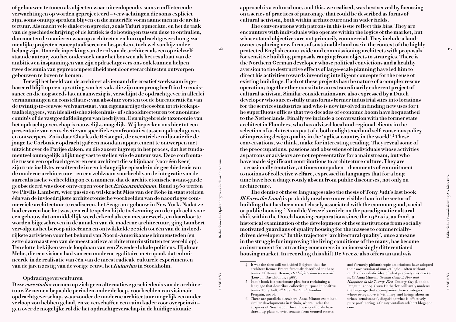**of gebouwen te tonen als objecten waar uiteenlopende, soms conflicterende verwachtingen op worden geprojecteerd – verwachtingen die soms expliciet zijn, soms onuitgesproken blijven en die materiële vorm aannemen in de architectuur. Als macht vele dialecten spreekt, zoals Tafuri opmerkte, en het de taak van de geschiedschrijving of de kritiek is de botsingen tussen deze te onthullen, dan moeten de manieren waarop architecten en hun opdrachtgevers hun gezamenlijke projecten conceptualiseren en bespreken, toch wel van bijzonder belang zijn. Door de inperking van de rol van de architect als een op zichzelf staande auteur, zou het onderzoek naar het bouwen als het resultaat van de ambities en inspanningen van zijn opdrachtgevers ons ook kunnen helpen twee decennia van gepreoccupeerdheid met door sterarchitecten ontworpen gebouwen te boven te komen.** 

**Terwijl het beeld van de architect als iemand die creatief werkzaam is gebaseerd blijft op een opvatting van het vak, die zijn oorsprong heeft in de renaissance en die nog steeds latent aanwezig is, verschijnt de opdrachtgever in allerlei vermommingen en constellaties: van absolute vorsten tot de bureaucratieën van de twintigste-eeuwse welvaartstaat, van eigenaardige theosofen tot risicokapitaalbeleggers, van idealistische ziekenhuis- of schooldirecteuren tot anonieme comités of de vastgoedafdelingen van bedrijven. Een uitgebreide taxonomie van het opdrachtgeverschap is nauwelijks mogelijk. Wij beperken ons hier tot een presentatie van een selectie van specifieke confrontaties tussen opdrachtgevers en ontwerpers. Zo is daar Charles de Beistegui, de excentrieke miljonair die de jonge Le Corbusier opdracht gaf een mondain appartement te ontwerpen met uitzicht over de Parijse daken, en die zozeer ingreep in het proces, dat het fundamenteel onmogelijk blijkt nog vast te stellen wie de auteur was. Deze confrontatie tussen een opdrachtgever en een architect die schijnbaar (voor één keer) zijn trots inslikte, resulteerde in een belangrijke episode in de geschiedenis van de moderne architectuur – en een zeldzaam voorbeeld van de integratie van de surrealistische verbeelding op een moment dat de architectonische avant-garde geobsedeerd was door ontwerpen voor het Existenzminimum. Rond 1950 treffen we Phyllis Lambert, wier passie en wilskracht Mies van der Rohe in staat stelden één van de invloedrijkste architectonische voorbeelden van de naoorlogse commerciële architectuur te realiseren, het Seagram-gebouw in New York. Nadat ze had ervaren hoe het was, een rol te spelen bij de toekenning van de opdracht voor een gebouw dat onmiddellijk werd erkend als een meesterwerk, en daardoor te worden bijgeschreven in de annalen van de moderne architectuur, ging Lambert vervolgens het beroep uitoefenen en ontwikkelde ze zich tot één van de invloedrijkste activisten voor het behoud van Noord-Amerikaanse binnensteden (en zette daarnaast een van de meest actieve architectuurinstituten ter wereld op). Ten slotte bekijken we de loopbaan van een Zweedse lokale politicus, Hjalmar Mehr, die een visioen had van een moderne egalitaire metropool, dat culmineerde in de realisatie van één van de meest radicale culturele experimenten van de jaren zestig van de vorige eeuw, het** *Kulturhus* **in Stockholm.** 

#### **Opdrachtgeversculturen**

**Deze case studies vormen op zich geen alternatieve geschiedenis van de architectuur. Ze nemen bepaalde perioden onder de loep, voorbeelden van visionair opdrachtgeverschap, waarzonder de moderne architectuur mogelijk een ander verloop zou hebben gehad, en ze verschaffen een ruim kader voor overpeinzingen over de mogelijke rol die het opdrachtgeverschap in de huidige situatie** 

**approach is a cultural one, and this, we realised, was best served by focussing on a series of practices of patronage that could be described as forms of cultural activism, both within architecture and in wider fields.** 

**The conversations with patrons in this issue reflect this bias. They are encounters with individuals who operate within the logics of the market, but whose stated objectives are not primarily commercial. They include a landowner exploring new forms of sustainable land use in the context of the highly protected English countryside and commissioning architects with proposals for sensitive building proposals ranging from objects to strategies. There is the Northern German developer whose political convictions and a healthy aversion to the destructive effects of large-scale planning have led him to direct his activities towards inventing intelligent concepts for the reuse of existing buildings. Each of these projects has the nature of a complex rescue operation; together they constitute an extraordinarily coherent project of cultural activism. Similar considerations are also expressed by a Dutch developer who successfully transforms former industrial sites into locations for the services industries and who is now involved in finding new uses for t he superfluous offices that two decades of economic boom have bequeathed to the Netherlands. Finally we include a conversation with the former state architect in Flanders, who has advised local and regional clients in the selection of architects as part of a both enlightened and self-conscious policy of improving design quality in the 'ugliest country in the world'.4 These conversations, we think, make for interesting reading. They reveal some of the preoccupations, passions and obsessions of individuals whose activities as patrons or advisors are not representative for a mainstream, but who have made significant contributions to architecture culture. They are – occasionally tentative, at times outspoken – documents of commitment to notions of collective welfare, expressed in languages that for a long time have been dangerously absent from public discourses, not only on architecture.** 

**The demise of these languages (also the thesis of Tony Judt's last book Ill Fares the Land) is probably nowhere more visible than in the sector of building that has been most closely associated with the common good, social or public housing.5 Noud de Vreeze's article on the paradigmatic cultural shift within the Dutch housing corporations since the 1980s is, au fond, a historical examination of the development of these institutions from socially motivated guardians of quality housing for the masses to commerciallydriven developers.6 In this trajectory 'architectural quality', once a means in the struggle for improving the living conditions of the many, has become an instrument for attracting consumers in an increasingly differentiated housing market. In recording this shift De Vreeze also offers an analysis** 

6 There are parallels elsewhere. Anna Minton examined similar developments in Britain, where under the auspices of New Labour local housing officials have drawn up plans to evict tenants from council estates

 and formerly philanthropic associations have adopted their own version of market logic – often without much of a realistic idea of what precisely this market is. Cf Anna Minton, Ground Control, Fear and Happiness in the Twenty-First-Century City (London: Penguin, 2009). Owen Hatherley brilliantly analyses the language that accompanies these strategies, where every move is 'visionary' and brings about an urban 'renaissance', disguising what is effectively pure profiteering. Cf nastybrutalistandshort.blogspot. com.

 $\triangleright$ 

Redactioneel – Opdrachtgevers in de architectuur

 $\circ$ 

<sup>4</sup> It was the then still undivided Belgium that the architect Renaet Braem famously described in these terms. Cf Renaet Braem, Het lelijkste land ter wereld (Leuven: Davidsfonds, 1968).

<sup>5</sup> Judt's book is a passionate plea for a reclaiming a language that describes collective purpose in positive terms. Tony Judt, Ill Fares the Land (London: Penguin, 2010).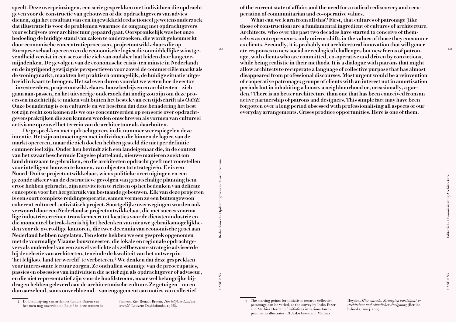**speelt. Deze overpeinzingen, een serie gesprekken met individuen die opdracht geven voor de constructie van gebouwen of die opdrachtgevers van advies dienen, zijn het resultaat van een ingewikkeld redactioneel gewetensonderzoek dat illustratief is voor de problemen waarmee de omgang met opdrachtgevers voor schrijvers over architectuur gepaard gaat. Oorspronkelijk was het onze bedoeling de huidige stand van zaken te onderzoeken, die wordt gekenmerkt door economische concentratieprocessen, projectontwikkelaars die op Europese schaal opereren en de economische logica die onmiddellijke winstgevendheid vereist in een sector die zich van oudsher laat leiden door langetermijndenken. De gevolgen van de economische crisis (ten minste in Nederland) en de ingrijpend gewijzigde perspectieven voor zowel de commerciële markt als de woningmarkt, maakten het praktisch onmogelijk, de huidige situatie uitgebreid in kaart te brengen. Het zal even duren voordat we weten hoe de sector – investeerders, projectontwikkelaars, bouwbedrijven en architecten – zich gaan aan-passen, en het uitvoerige onderzoek dat nodig zou zijn om deze processen inzichtelijk te maken valt buiten het bestek van een tijdschrift als OASE. Onze benadering is een culturele en we beseften dat deze benadering het best tot zijn recht zou komen als we ons concentreerden op een serie over opdrachtgeverspraktijken die zou kunnen worden omschreven als vormen van cultureel activisme op zowel het terrein van de architectuur als daarbuiten.** 

**De gesprekken met opdrachtgevers in dit nummer weerspiegelen deze intentie. Het zijn ontmoetingen met individuen die binnen de logica van de markt opereren, maar die zich doelen hebben gesteld die niet per definitie commercieel zijn. Onder hen bevindt zich een landeigenaar die, in de context van het zwaar beschermde Engelse platteland, nieuwe manieren zoekt om land duurzaam te gebruiken, en die architecten opdracht geeft met voorstellen voor intelligent bouwen te komen, van objecten tot strategieën. Er is een Noord-Duitse projectontwikkelaar, wiens politieke overtuigingen en een gezonde afkeer van de destructieve gevolgen van grootschalige planning hem ertoe hebben gebracht, zijn activiteiten te richten op het bedenken van delicate concepten voor het hergebruik van bestaande gebouwen. Elk van deze projecten is een soort complexe reddingsoperatie; samen vormen ze een buitengewoon coherent cultureel-activistisch project. Soortgelijke overwegingen worden ook verwoord door een Nederlandse projectontwikkelaar, die met succes voormalige industrieterreinen transformeert tot locaties voor de dienstenindustrie en die momenteel betrok-ken is bij het bedenken van nieuwe gebruiksmogelijkheden voor de overtollige kantoren, die twee decennia van economische groei aan Nederland hebben nagelaten. Ten slotte hebben we een gesprek opgenomen met de voormalige Vlaams bouwmeester, die lokale en regionale opdrachtgevers als onderdeel van een zowel verlichte als zelfbewuste strategie adviseerde bij de selectie van architecten, teneinde de kwaliteit van het ontwerp in 'het lelijkste land ter wereld' te verbeteren.4 We denken dat deze gesprekken voor interessante lectuur zorgen. Ze onthullen sommige van de preoccupaties, passies en obsessies van individuen die actief zijn als opdrachtgever of adviseur, en die niet representatief zijn voor de hoofdstroom, maar wel belangrijke bijdragen hebben geleverd aan de architectonische cultuur. Ze getuigen – nu en dan aarzelend, soms onverbloemd – van engagement aan noties van collectief** 

Redactioneel – Opdrachtgevers in de architectuur OASE # 83 Redactioneel – Opdrachtgevers in de architectuur

 $\infty$ 

 $OASE #83$ 

fameus. Zie: Renaet Braem, Het lelijkste land ter wereld (Leuven: Davidsfonds, 1968).

**of the current state of affairs and the need for a radical rediscovery and recuperation of communitarian and co-operative values.** 

**What can we learn from all this? First, that cultures of patronage (like those of construction) are a fundamental ingredient of cultures of architecture. Architects, who over the past two decades have started to conceive of themselves as entrepreneurs, only mirror shifts in the values of those they encounter as clients. Secondly, it is probably not architectural innovation that will generate responses to new social or ecological challenges but new forms of patronage, with clients who are committed, co-operative and driven by convictions, while being realistic in their methods. It is a dialogue with patrons that might allow architects to recuperate a language of collective purpose that has almost disappeared from professional discourses. Most urgent would be a reinvention of cooperative patronage; groups of clients with an interest not in amortisation periods but in inhabiting a house, a neighbourhood or, occasionally, a garden.7 There is no better architecture than one that has been conceived from an active partnership of patrons and designers. This simple fact may have been forgotten over a long period obsessed with professionalising all aspects of our everyday arrangements. Crises produce opportunities. Here is one of them.**

 $\circ$ 

Heyden, Hier entsteht, Strategien partizipativer Architektur und räumlicher Aneignung (Berlin: b-books, 2004/2007).

<sup>4</sup> De beschrijving van architect Renaet Braem van het toen nog onverdeelde België in deze termen is

<sup>7</sup> The starting points for initiatives towards collective patronage can be varied, as the survey by Jesko Fezer and Mathias Heyden of initiatives in various European cities illustrates. Cf Jesko Fezer and Mathias